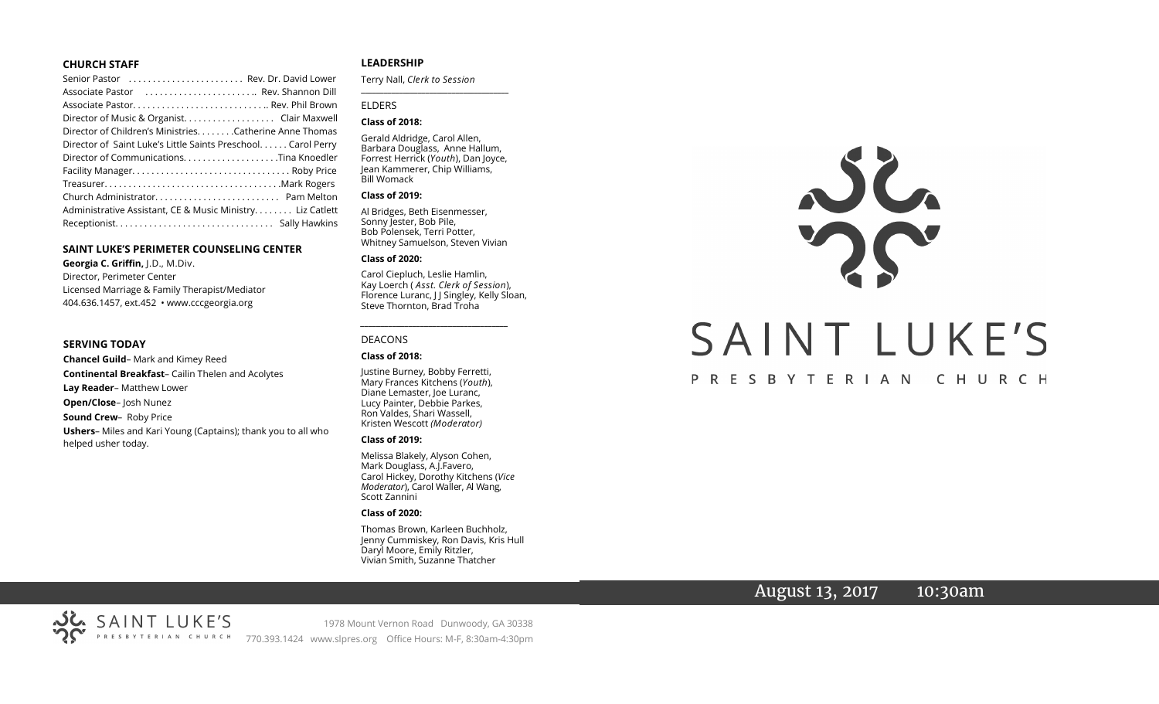#### **CHURCH STAFF**

| Senior Pastor  Rev. Dr. David Lower                                                        |
|--------------------------------------------------------------------------------------------|
| Associate Pastor (Associate Pastor (Associate Pastor (Associate Pastor (Associate Pastor ) |
|                                                                                            |
| Director of Music & Organist. Clair Maxwell                                                |
| Director of Children's Ministries. Catherine Anne Thomas                                   |
| Director of Saint Luke's Little Saints Preschool. Carol Perry                              |
| Director of CommunicationsTina Knoedler                                                    |
|                                                                                            |
|                                                                                            |
|                                                                                            |
| Administrative Assistant, CE & Music Ministry Liz Catlett                                  |
|                                                                                            |

#### **SAINT LUKE'S PERIMETER COUNSELING CENTER**

**Georgia C. Griffin,** J.D., M.Div. Director, Perimeter Center Licensed Marriage & Family Therapist/Mediator 404.636.1457, ext.452 • www.cccgeorgia.org

#### **SERVING TODAY**

**Chancel Guild**– Mark and Kimey Reed **Continental Breakfast**– Cailin Thelen and Acolytes **Lay Reader**– Matthew Lower **Open/Close**– Josh Nunez **Sound Crew**– Roby Price **Ushers**– Miles and Kari Young (Captains); thank you to all who helped usher today.

#### **LEADERSHIP**

Terry Nall, *Clerk to Session*  **\_\_\_\_\_\_\_\_\_\_\_\_\_\_\_\_\_\_\_\_\_\_\_\_\_\_\_\_\_\_\_\_\_\_\_\_\_\_\_**

#### ELDERS

#### **Class of 2018:**

Gerald Aldridge, Carol Allen, Barbara Douglass, Anne Hallum, Forrest Herrick (*Youth*), Dan Joyce, Jean Kammerer, Chip Williams, Bill Womack

#### **Class of 2019:**

Al Bridges, Beth Eisenmesser, Sonny Jester, Bob Pile, Bob Polensek, Terri Potter, Whitney Samuelson, Steven Vivian

#### **Class of 2020:**

Carol Ciepluch, Leslie Hamlin, Kay Loerch ( *Asst. Clerk of Session*), Florence Luranc, J J Singley, Kelly Sloan, Steve Thornton, Brad Troha

*\_\_\_\_\_\_\_\_\_\_\_\_\_\_\_\_\_\_\_\_\_\_\_\_\_\_\_\_\_\_\_\_\_\_\_\_\_*

#### DEACONS

#### **Class of 2018:**

Justine Burney, Bobby Ferretti, Mary Frances Kitchens (*Youth*), Diane Lemaster, Joe Luranc, Lucy Painter, Debbie Parkes, Ron Valdes, Shari Wassell, Kristen Wescott *(Moderator)*

#### **Class of 2019:**

Melissa Blakely, Alyson Cohen, Mark Douglass, A.J.Favero, Carol Hickey, Dorothy Kitchens (*Vice Moderator*), Carol Waller, Al Wang, Scott Zannini

#### **Class of 2020:**

Thomas Brown, Karleen Buchholz, Jenny Cummiskey, Ron Davis, Kris Hull Daryl Moore, Emily Ritzler, Vivian Smith, Suzanne Thatcher



# August 13, 2017 10:30am

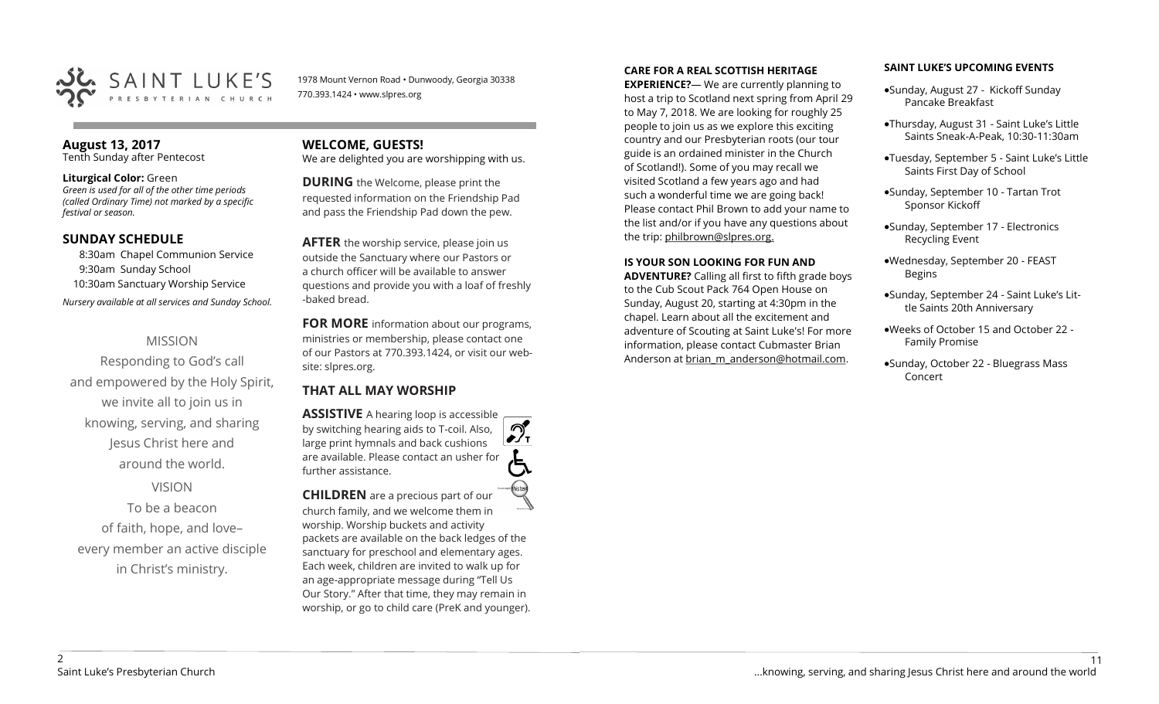

1978 Mount Vernon Road • Dunwoody, Georgia 30338 770.393.1424 • www.slpres.org

#### **August 13, 2017**  Tenth Sunday after Pentecost

#### **Liturgical Color:** Green

*Green is used for all of the other time periods (called Ordinary Time) not marked by a specific festival or season.*

### **SUNDAY SCHEDULE**

8:30am Chapel Communion Service 9:30am Sunday School 10:30am Sanctuary Worship Service *Nursery available at all services and Sunday School.* 

# MISSION

Responding to God's call and empowered by the Holy Spirit, we invite all to join us in knowing, serving, and sharing Jesus Christ here and around the world.

# VISION

To be a beacon of faith, hope, and love– every member an active disciple in Christ's ministry.

## **WELCOME, GUESTS!**  We are delighted you are worshipping with us.

**DURING** the Welcome, please print the

requested information on the Friendship Pad and pass the Friendship Pad down the pew.

**AFTER** the worship service, please join us outside the Sanctuary where our Pastors or a church officer will be available to answer questions and provide you with a loaf of freshly -baked bread.

**FOR MORE** information about our programs, ministries or membership, please contact one of our Pastors at 770.393.1424, or visit our website: slpres.org.

# **THAT ALL MAY WORSHIP**

**ASSISTIVE** A hearing loop is accessible ീ by switching hearing aids to T-coil. Also,  $\frac{1}{\sqrt{1}}$ large print hymnals and back cushions are available. Please contact an usher for further assistance. **CHILDREN** are a precious part of our

church family, and we welcome them in worship. Worship buckets and activity packets are available on the back ledges of the sanctuary for preschool and elementary ages. Each week, children are invited to walk up for an age-appropriate message during "Tell Us Our Story." After that time, they may remain in worship, or go to child care (PreK and younger).

#### **CARE FOR A REAL SCOTTISH HERITAGE**

**EXPERIENCE?**— We are currently planning to host a trip to Scotland next spring from April 29 to May 7, 2018. We are looking for roughly 25 people to join us as we explore this exciting country and our Presbyterian roots (our tour guide is an ordained minister in the Church of Scotland!). Some of you may recall we visited Scotland a few years ago and had such a wonderful time we are going back! Please contact Phil Brown to add your name to the list and/or if you have any questions about the trip: philbrown@slpres.org.

#### **IS YOUR SON LOOKING FOR FUN AND**

**ADVENTURE?** Calling all first to fifth grade boys to the Cub Scout Pack 764 Open House on Sunday, August 20, starting at 4:30pm in the chapel. Learn about all the excitement and adventure of Scouting at Saint Luke's! For more information, please contact Cubmaster Brian Anderson at [brian\\_m\\_anderson@hotmail.com.](mailto:brian_m_anderson@hotmail.com)

#### **SAINT LUKE'S UPCOMING EVENTS**

- Sunday, August 27 Kickoff Sunday Pancake Breakfast
- Thursday, August 31 Saint Luke's Little Saints Sneak-A-Peak, 10:30-11:30am
- Tuesday, September 5 Saint Luke's Little Saints First Day of School
- Sunday, September 10 Tartan Trot Sponsor Kickoff
- Sunday, September 17 Electronics Recycling Event
- Wednesday, September 20 FEAST Begins
- Sunday, September 24 Saint Luke's Little Saints 20th Anniversary
- Weeks of October 15 and October 22 Family Promise
- Sunday, October 22 Bluegrass Mass Concert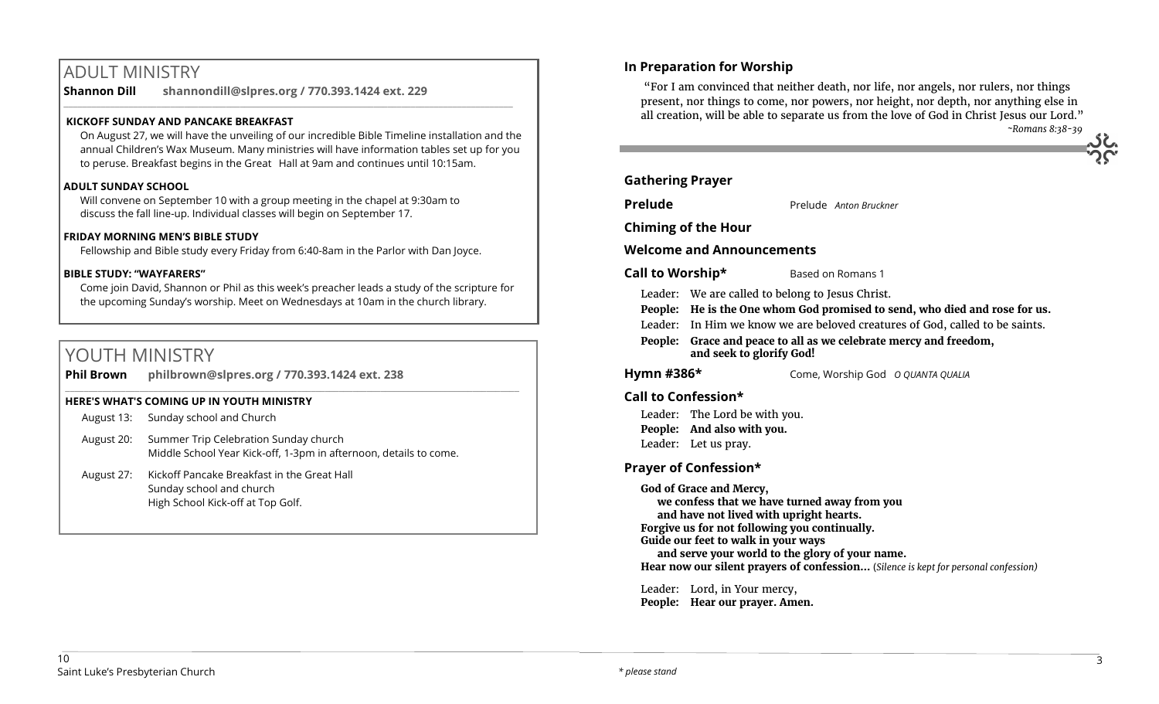# ADULT MINISTRY

**Shannon Dill shannondill@slpres.org / 770.393.1424 ext. 229** 

## **KICKOFF SUNDAY AND PANCAKE BREAKFAST**

On August 27, we will have the unveiling of our incredible Bible Timeline installation and the annual Children's Wax Museum. Many ministries will have information tables set up for you to peruse. Breakfast begins in the Great Hall at 9am and continues until 10:15am.

 $\_$  ,  $\_$  ,  $\_$  ,  $\_$  ,  $\_$  ,  $\_$  ,  $\_$  ,  $\_$  ,  $\_$  ,  $\_$  ,  $\_$  ,  $\_$  ,  $\_$  ,  $\_$  ,  $\_$  ,  $\_$  ,  $\_$  ,  $\_$  ,  $\_$  ,  $\_$ 

### **ADULT SUNDAY SCHOOL**

Will convene on September 10 with a group meeting in the chapel at 9:30am to discuss the fall line-up. Individual classes will begin on September 17.

### **FRIDAY MORNING MEN'S BIBLE STUDY**

Fellowship and Bible study every Friday from 6:40-8am in the Parlor with Dan Joyce.

#### **BIBLE STUDY: "WAYFARERS"**

Come join David, Shannon or Phil as this week's preacher leads a study of the scripture for the upcoming Sunday's worship. Meet on Wednesdays at 10am in the church library.

 $\_$  ,  $\_$  ,  $\_$  ,  $\_$  ,  $\_$  ,  $\_$  ,  $\_$  ,  $\_$  ,  $\_$  ,  $\_$  ,  $\_$  ,  $\_$  ,  $\_$  ,  $\_$  ,  $\_$  ,  $\_$  ,  $\_$  ,  $\_$  ,  $\_$  ,  $\_$  ,  $\_$  ,  $\_$  ,  $\_$  ,  $\_$  ,  $\_$  ,  $\_$  ,  $\_$  ,  $\_$  ,  $\_$  ,  $\_$  ,  $\_$  ,  $\_$  ,  $\_$  ,  $\_$  ,  $\_$  ,  $\_$  ,  $\_$  ,

# YOUTH MINISTRY

| <b>Phil Brown</b> | philbrown@slpres.org / 770.393.1424 ext. 238 |
|-------------------|----------------------------------------------|
|                   |                                              |

### **HERE'S WHAT'S COMING UP IN YOUTH MINISTRY**

|            | August 13: Sunday school and Church                                                                        |
|------------|------------------------------------------------------------------------------------------------------------|
| August 20: | Summer Trip Celebration Sunday church<br>Middle School Year Kick-off, 1-3pm in afternoon, details to come. |
| August 27: | Kickoff Pancake Breakfast in the Great Hall<br>Sunday school and church                                    |

High School Kick-off at Top Golf.

**In Preparation for Worship** 

"For I am convinced that neither death, nor life, nor angels, nor rulers, nor things present, nor things to come, nor powers, nor height, nor depth, nor anything else in all creation, will be able to separate us from the love of God in Christ Jesus our Lord." *~Romans 8:38-39*

| <b>Gathering Prayer</b> |
|-------------------------|
|-------------------------|

**Prelude** Prelude *Anton Bruckner* 

**Chiming of the Hour**

### **Welcome and Announcements**

#### **Call to Worship\*** Based on Romans 1

- Leader: We are called to belong to Jesus Christ.
- **People: He is the One whom God promised to send, who died and rose for us.**
- Leader: In Him we know we are beloved creatures of God, called to be saints.
- **People: Grace and peace to all as we celebrate mercy and freedom, and seek to glorify God!**

**Hymn #386\*** Come, Worship God *O QUANTA QUALIA*

### **Call to Confession\***

Leader: The Lord be with you. **People: And also with you.** Leader: Let us pray.

# **Prayer of Confession\***

**God of Grace and Mercy, we confess that we have turned away from you and have not lived with upright hearts. Forgive us for not following you continually. Guide our feet to walk in your ways and serve your world to the glory of your name. Hear now our silent prayers of confession…** (*Silence is kept for personal confession)* 

Leader: Lord, in Your mercy, **People: Hear our prayer. Amen.**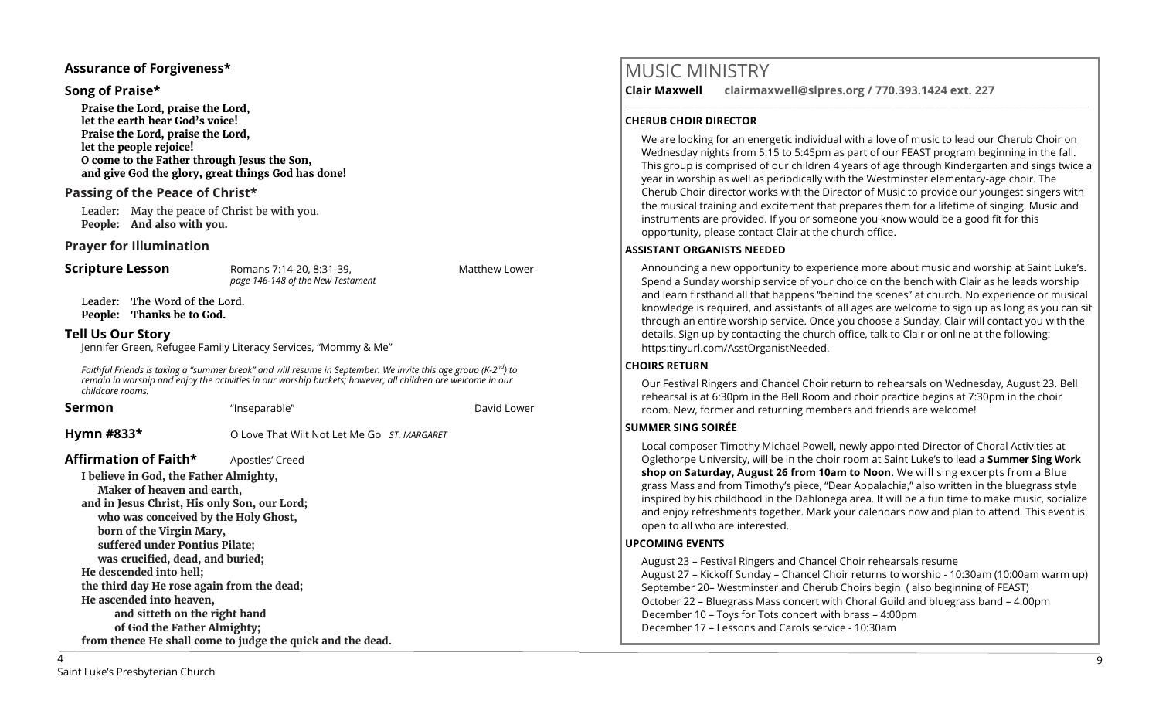### **Assurance of Forgiveness\***

#### **Song of Praise\***

**Praise the Lord, praise the Lord, let the earth hear God's voice! Praise the Lord, praise the Lord, let the people rejoice! O come to the Father through Jesus the Son, and give God the glory, great things God has done!** 

### **Passing of the Peace of Christ\***

Leader: May the peace of Christ be with you. **People: And also with you.**

#### **Prayer for Illumination**

**Scripture Lesson** Romans 7:14-20, 8:31-39, Romans 7:14-20, 8:31-39, *page 146-148 of the New Testament* 

Leader: The Word of the Lord. **People: Thanks be to God.**

#### **Tell Us Our Story**

Jennifer Green, Refugee Family Literacy Services, "Mommy & Me"

*Faithful Friends is taking a "summer break" and will resume in September. We invite this age group (K-2 nd) to remain in worship and enjoy the activities in our worship buckets; however, all children are welcome in our childcare rooms.*

**Sermon** This eparable" **David Lower Sermon** David Lower **Hymn #833\*** O Love That Wilt Not Let Me Go *ST. MARGARET* **Affirmation of Faith\*** Apostles' Creed **I believe in God, the Father Almighty, Maker of heaven and earth, and in Jesus Christ, His only Son, our Lord; who was conceived by the Holy Ghost, born of the Virgin Mary, suffered under Pontius Pilate; was crucified, dead, and buried; He descended into hell; the third day He rose again from the dead; He ascended into heaven, and sitteth on the right hand** 

# MUSIC MINISTRY

**Clair Maxwell clairmaxwell@slpres.org / 770.393.1424 ext. 227** 

#### **CHERUB CHOIR DIRECTOR**

We are looking for an energetic individual with a love of music to lead our Cherub Choir on Wednesday nights from 5:15 to 5:45pm as part of our FEAST program beginning in the fall. This group is comprised of our children 4 years of age through Kindergarten and sings twice a year in worship as well as periodically with the Westminster elementary-age choir. The Cherub Choir director works with the Director of Music to provide our youngest singers with the musical training and excitement that prepares them for a lifetime of singing. Music and instruments are provided. If you or someone you know would be a good fit for this opportunity, please contact Clair at the church office.

\_\_\_\_\_\_\_\_\_\_\_\_\_\_\_\_\_\_\_\_\_\_\_\_\_\_\_\_\_\_\_\_\_\_\_\_\_\_\_\_\_\_\_\_\_\_\_\_\_\_\_\_\_\_\_\_\_\_\_\_\_\_\_\_\_\_\_\_\_\_\_\_\_\_\_\_\_\_\_\_\_\_\_\_\_\_\_\_\_\_\_\_\_\_\_\_\_\_\_\_

#### **ASSISTANT ORGANISTS NEEDED**

Announcing a new opportunity to experience more about music and worship at Saint Luke's. Spend a Sunday worship service of your choice on the bench with Clair as he leads worship and learn firsthand all that happens "behind the scenes" at church. No experience or musical knowledge is required, and assistants of all ages are welcome to sign up as long as you can sit through an entire worship service. Once you choose a Sunday, Clair will contact you with the details. Sign up by contacting the church office, talk to Clair or online at the following: https:tinyurl.com/AsstOrganistNeeded.

#### **CHOIRS RETURN**

Our Festival Ringers and Chancel Choir return to rehearsals on Wednesday, August 23. Bell rehearsal is at 6:30pm in the Bell Room and choir practice begins at 7:30pm in the choir room. New, former and returning members and friends are welcome!

#### **SUMMER SING SOIRÉE**

Local composer Timothy Michael Powell, newly appointed Director of Choral Activities at Oglethorpe University, will be in the choir room at Saint Luke's to lead a **Summer Sing Work shop on Saturday, August 26 from 10am to Noon**. We will sing excerpts from a Blue grass Mass and from Timothy's piece, "Dear Appalachia," also written in the bluegrass style inspired by his childhood in the Dahlonega area. It will be a fun time to make music, socialize and enjoy refreshments together. Mark your calendars now and plan to attend. This event is open to all who are interested.

#### **UPCOMING EVENTS**

August 23 – Festival Ringers and Chancel Choir rehearsals resume August 27 – Kickoff Sunday – Chancel Choir returns to worship - 10:30am (10:00am warm up) September 20– Westminster and Cherub Choirs begin ( also beginning of FEAST) October 22 – Bluegrass Mass concert with Choral Guild and bluegrass band – 4:00pm December 10 – Toys for Tots concert with brass – 4:00pm December 17 – Lessons and Carols service - 10:30am

**of God the Father Almighty;**

**from thence He shall come to judge the quick and the dead.**

 $\overline{\Delta}$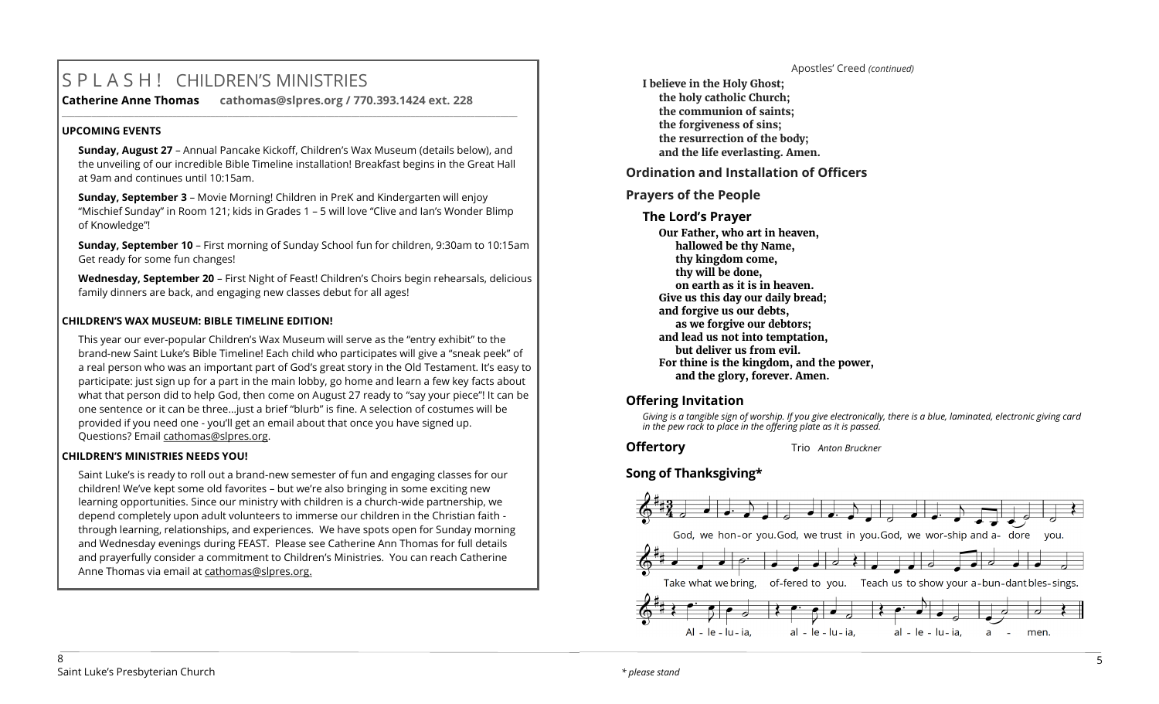# S P L A S H ! CHILDREN'S MINISTRIES

**Catherine Anne Thomas cathomas@slpres.org / 770.393.1424 ext. 228 \_\_\_\_\_\_\_\_\_\_\_\_\_\_\_\_\_\_\_\_\_\_\_\_\_\_\_\_\_\_\_\_\_\_\_\_\_\_\_\_\_\_\_\_\_\_\_\_\_\_\_\_\_\_\_\_\_\_\_\_\_\_\_\_\_\_\_\_\_\_\_\_\_\_\_\_\_\_\_\_\_\_\_\_\_\_\_\_\_\_\_\_\_\_\_\_\_\_\_\_\_\_\_\_\_\_\_** 

# **UPCOMING EVENTS**

**Sunday, August 27** – Annual Pancake Kickoff, Children's Wax Museum (details below), and the unveiling of our incredible Bible Timeline installation! Breakfast begins in the Great Hall at 9am and continues until 10:15am.

**Sunday, September 3** – Movie Morning! Children in PreK and Kindergarten will enjoy "Mischief Sunday" in Room 121; kids in Grades 1 – 5 will love "Clive and Ian's Wonder Blimp of Knowledge"!

**Sunday, September 10** – First morning of Sunday School fun for children, 9:30am to 10:15am Get ready for some fun changes!

**Wednesday, September 20** – First Night of Feast! Children's Choirs begin rehearsals, delicious family dinners are back, and engaging new classes debut for all ages!

# **CHILDREN'S WAX MUSEUM: BIBLE TIMELINE EDITION!**

This year our ever-popular Children's Wax Museum will serve as the "entry exhibit" to the brand-new Saint Luke's Bible Timeline! Each child who participates will give a "sneak peek" of a real person who was an important part of God's great story in the Old Testament. It's easy to participate: just sign up for a part in the main lobby, go home and learn a few key facts about what that person did to help God, then come on August 27 ready to "say your piece"! It can be one sentence or it can be three…just a brief "blurb" is fine. A selection of costumes will be provided if you need one - you'll get an email about that once you have signed up. Questions? Email [cathomas@slpres.org.](mailto:cathomas@slpres.org)

# **CHILDREN'S MINISTRIES NEEDS YOU!**

Saint Luke's is ready to roll out a brand-new semester of fun and engaging classes for our children! We've kept some old favorites – but we're also bringing in some exciting new learning opportunities. Since our ministry with children is a church-wide partnership, we depend completely upon adult volunteers to immerse our children in the Christian faith through learning, relationships, and experiences. We have spots open for Sunday morning and Wednesday evenings during FEAST. Please see Catherine Ann Thomas for full details and prayerfully consider a commitment to Children's Ministries. You can reach Catherine Anne Thomas via email at cathomas@slpres.org.

**I believe in the Holy Ghost; the holy catholic Church; the communion of saints; the forgiveness of sins; the resurrection of the body; and the life everlasting. Amen.**

**Ordination and Installation of Officers**

# **Prayers of the People**

# **The Lord's Prayer**

**Our Father, who art in heaven, hallowed be thy Name, thy kingdom come, thy will be done, on earth as it is in heaven. Give us this day our daily bread; and forgive us our debts, as we forgive our debtors; and lead us not into temptation, but deliver us from evil. For thine is the kingdom, and the power, and the glory, forever. Amen.** 

# **Offering Invitation**

*Giving is a tangible sign of worship. If you give electronically, there is a blue, laminated, electronic giving card in the pew rack to place in the offering plate as it is passed.*

Apostles' Creed *(continued)*

**Offertory** Trio *Anton Bruckner* 

# **Song of Thanksgiving\***